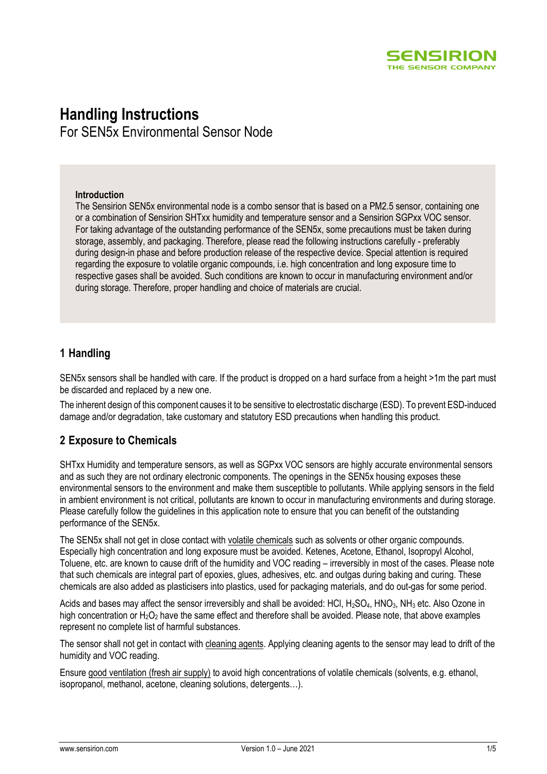

# **Handling Instructions**

For SEN5x Environmental Sensor Node

#### **Introduction**

The Sensirion SEN5x environmental node is a combo sensor that is based on a PM2.5 sensor, containing one or a combination of Sensirion SHTxx humidity and temperature sensor and a Sensirion SGPxx VOC sensor. For taking advantage of the outstanding performance of the SEN5x, some precautions must be taken during storage, assembly, and packaging. Therefore, please read the following instructions carefully - preferably during design-in phase and before production release of the respective device. Special attention is required regarding the exposure to volatile organic compounds, i.e. high concentration and long exposure time to respective gases shall be avoided. Such conditions are known to occur in manufacturing environment and/or during storage. Therefore, proper handling and choice of materials are crucial.

## **1 Handling**

SEN5x sensors shall be handled with care. If the product is dropped on a hard surface from a height >1m the part must be discarded and replaced by a new one.

The inherent design of this component causes it to be sensitive to electrostatic discharge (ESD). To prevent ESD-induced damage and/or degradation, take customary and statutory ESD precautions when handling this product.

### **2 Exposure to Chemicals**

SHTxx Humidity and temperature sensors, as well as SGPxx VOC sensors are highly accurate environmental sensors and as such they are not ordinary electronic components. The openings in the SEN5x housing exposes these environmental sensors to the environment and make them susceptible to pollutants. While applying sensors in the field in ambient environment is not critical, pollutants are known to occur in manufacturing environments and during storage. Please carefully follow the guidelines in this application note to ensure that you can benefit of the outstanding performance of the SEN5x.

The SEN5x shall not get in close contact with volatile chemicals such as solvents or other organic compounds. Especially high concentration and long exposure must be avoided. Ketenes, Acetone, Ethanol, Isopropyl Alcohol, Toluene, etc. are known to cause drift of the humidity and VOC reading – irreversibly in most of the cases. Please note that such chemicals are integral part of epoxies, glues, adhesives, etc. and outgas during baking and curing. These chemicals are also added as plasticisers into plastics, used for packaging materials, and do out-gas for some period.

Acids and bases may affect the sensor irreversibly and shall be avoided: HCl, H<sub>2</sub>SO<sub>4</sub>, HNO<sub>3</sub>, NH<sub>3</sub> etc. Also Ozone in high concentration or  $H_2O_2$  have the same effect and therefore shall be avoided. Please note, that above examples represent no complete list of harmful substances.

The sensor shall not get in contact with cleaning agents. Applying cleaning agents to the sensor may lead to drift of the humidity and VOC reading.

Ensure good ventilation (fresh air supply) to avoid high concentrations of volatile chemicals (solvents, e.g. ethanol, isopropanol, methanol, acetone, cleaning solutions, detergents…).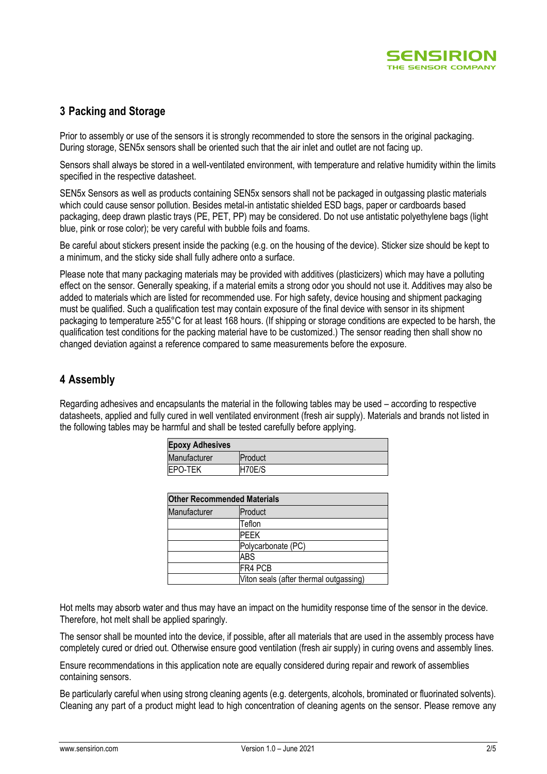

## **3 Packing and Storage**

Prior to assembly or use of the sensors it is strongly recommended to store the sensors in the original packaging. During storage, SEN5x sensors shall be oriented such that the air inlet and outlet are not facing up.

Sensors shall always be stored in a well-ventilated environment, with temperature and relative humidity within the limits specified in the respective datasheet.

SEN5x Sensors as well as products containing SEN5x sensors shall not be packaged in outgassing plastic materials which could cause sensor pollution. Besides metal-in antistatic shielded ESD bags, paper or cardboards based packaging, deep drawn plastic trays (PE, PET, PP) may be considered. Do not use antistatic polyethylene bags (light blue, pink or rose color); be very careful with bubble foils and foams.

Be careful about stickers present inside the packing (e.g. on the housing of the device). Sticker size should be kept to a minimum, and the sticky side shall fully adhere onto a surface.

Please note that many packaging materials may be provided with additives (plasticizers) which may have a polluting effect on the sensor. Generally speaking, if a material emits a strong odor you should not use it. Additives may also be added to materials which are listed for recommended use. For high safety, device housing and shipment packaging must be qualified. Such a qualification test may contain exposure of the final device with sensor in its shipment packaging to temperature ≥55°C for at least 168 hours. (If shipping or storage conditions are expected to be harsh, the qualification test conditions for the packing material have to be customized.) The sensor reading then shall show no changed deviation against a reference compared to same measurements before the exposure.

### **4 Assembly**

Regarding adhesives and encapsulants the material in the following tables may be used – according to respective datasheets, applied and fully cured in well ventilated environment (fresh air supply). Materials and brands not listed in the following tables may be harmful and shall be tested carefully before applying.

| <b>Epoxy Adhesives</b> |         |  |
|------------------------|---------|--|
| Manufacturer           | Product |  |
| <b>EPO-TEK</b>         | H70E/S  |  |

| <b>Other Recommended Materials</b> |                                        |  |
|------------------------------------|----------------------------------------|--|
| Manufacturer                       | Product                                |  |
|                                    | Teflon                                 |  |
|                                    | PFFK                                   |  |
|                                    | Polycarbonate (PC)                     |  |
|                                    | ABS                                    |  |
|                                    | FR4 PCB                                |  |
|                                    | Viton seals (after thermal outgassing) |  |

Hot melts may absorb water and thus may have an impact on the humidity response time of the sensor in the device. Therefore, hot melt shall be applied sparingly.

The sensor shall be mounted into the device, if possible, after all materials that are used in the assembly process have completely cured or dried out. Otherwise ensure good ventilation (fresh air supply) in curing ovens and assembly lines.

Ensure recommendations in this application note are equally considered during repair and rework of assemblies containing sensors.

Be particularly careful when using strong cleaning agents (e.g. detergents, alcohols, brominated or fluorinated solvents). Cleaning any part of a product might lead to high concentration of cleaning agents on the sensor. Please remove any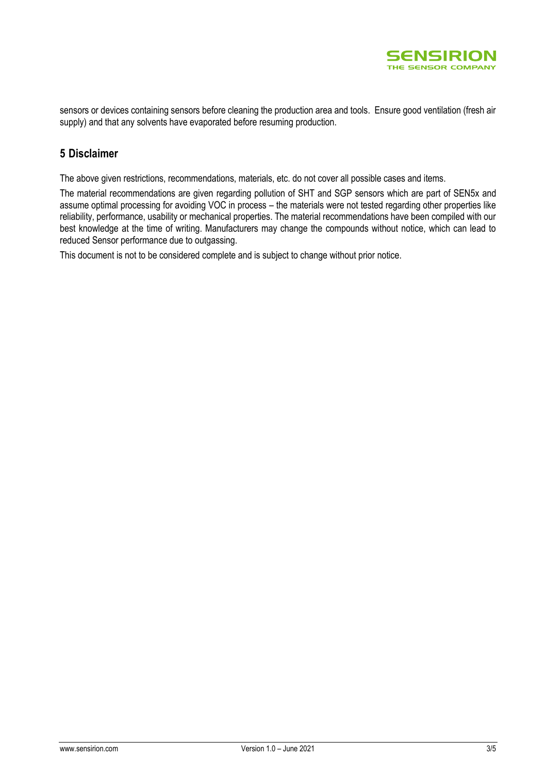

sensors or devices containing sensors before cleaning the production area and tools. Ensure good ventilation (fresh air supply) and that any solvents have evaporated before resuming production.

## **5 Disclaimer**

The above given restrictions, recommendations, materials, etc. do not cover all possible cases and items.

The material recommendations are given regarding pollution of SHT and SGP sensors which are part of SEN5x and assume optimal processing for avoiding VOC in process – the materials were not tested regarding other properties like reliability, performance, usability or mechanical properties. The material recommendations have been compiled with our best knowledge at the time of writing. Manufacturers may change the compounds without notice, which can lead to reduced Sensor performance due to outgassing.

This document is not to be considered complete and is subject to change without prior notice.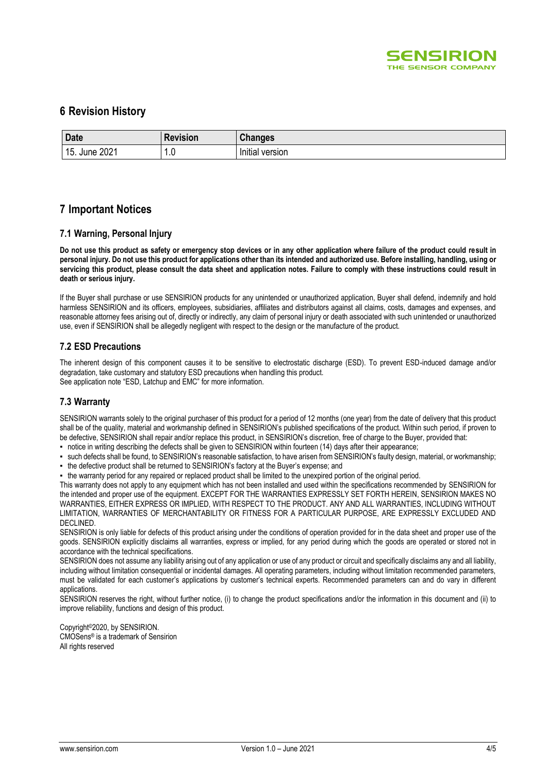

### **6 Revision History**

| <b>Date</b>         | Revision               | <b>Changes</b>       |
|---------------------|------------------------|----------------------|
| 2021<br>15.<br>June | $\epsilon$<br>n<br>1.U | .<br>Initial version |

#### **7 Important Notices**

#### **7.1 Warning, Personal Injury**

**Do not use this product as safety or emergency stop devices or in any other application where failure of the product could result in personal injury. Do not use this product for applications other than its intended and authorized use. Before installing, handling, using or servicing this product, please consult the data sheet and application notes. Failure to comply with these instructions could result in death or serious injury.**

If the Buyer shall purchase or use SENSIRION products for any unintended or unauthorized application, Buyer shall defend, indemnify and hold harmless SENSIRION and its officers, employees, subsidiaries, affiliates and distributors against all claims, costs, damages and expenses, and reasonable attorney fees arising out of, directly or indirectly, any claim of personal injury or death associated with such unintended or unauthorized use, even if SENSIRION shall be allegedly negligent with respect to the design or the manufacture of the product.

#### **7.2 ESD Precautions**

The inherent design of this component causes it to be sensitive to electrostatic discharge (ESD). To prevent ESD-induced damage and/or degradation, take customary and statutory ESD precautions when handling this product. See application note "ESD, Latchup and EMC" for more information.

#### **7.3 Warranty**

SENSIRION warrants solely to the original purchaser of this product for a period of 12 months (one year) from the date of delivery that this product shall be of the quality, material and workmanship defined in SENSIRION's published specifications of the product. Within such period, if proven to be defective, SENSIRION shall repair and/or replace this product, in SENSIRION's discretion, free of charge to the Buyer, provided that:

- notice in writing describing the defects shall be given to SENSIRION within fourteen (14) days after their appearance;
- such defects shall be found, to SENSIRION's reasonable satisfaction, to have arisen from SENSIRION's faulty design, material, or workmanship;
- the defective product shall be returned to SENSIRION's factory at the Buyer's expense; and

▪ the warranty period for any repaired or replaced product shall be limited to the unexpired portion of the original period. This warranty does not apply to any equipment which has not been installed and used within the specifications recommended by SENSIRION for the intended and proper use of the equipment. EXCEPT FOR THE WARRANTIES EXPRESSLY SET FORTH HEREIN, SENSIRION MAKES NO WARRANTIES, EITHER EXPRESS OR IMPLIED, WITH RESPECT TO THE PRODUCT. ANY AND ALL WARRANTIES, INCLUDING WITHOUT LIMITATION, WARRANTIES OF MERCHANTABILITY OR FITNESS FOR A PARTICULAR PURPOSE, ARE EXPRESSLY EXCLUDED AND DECLINED.

SENSIRION is only liable for defects of this product arising under the conditions of operation provided for in the data sheet and proper use of the goods. SENSIRION explicitly disclaims all warranties, express or implied, for any period during which the goods are operated or stored not in accordance with the technical specifications.

SENSIRION does not assume any liability arising out of any application or use of any product or circuit and specifically disclaims any and all liability, including without limitation consequential or incidental damages. All operating parameters, including without limitation recommended parameters, must be validated for each customer's applications by customer's technical experts. Recommended parameters can and do vary in different applications.

SENSIRION reserves the right, without further notice, (i) to change the product specifications and/or the information in this document and (ii) to improve reliability, functions and design of this product.

Copyright©2020, by SENSIRION. CMOSens® is a trademark of Sensirion All rights reserved